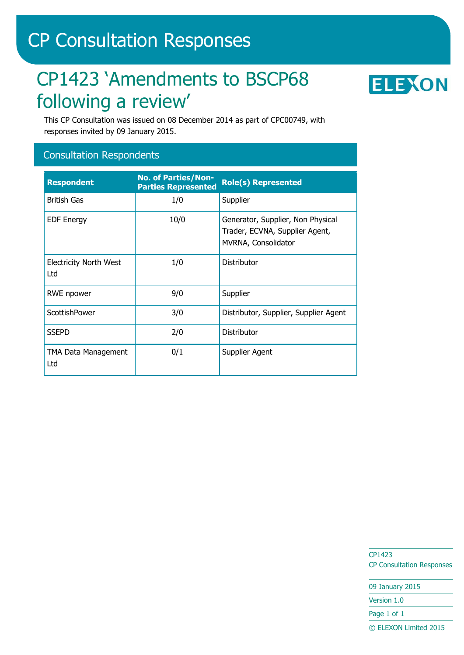# CP Consultation Responses

# CP1423 'Amendments to BSCP68 following a review'



This CP Consultation was issued on 08 December 2014 as part of CPC00749, with responses invited by 09 January 2015.

### Consultation Respondents

| <b>Respondent</b>                    | <b>No. of Parties/Non-</b><br><b>Parties Represented</b> | <b>Role(s) Represented</b>                                                                 |
|--------------------------------------|----------------------------------------------------------|--------------------------------------------------------------------------------------------|
| <b>British Gas</b>                   | 1/0                                                      | Supplier                                                                                   |
| <b>EDF Energy</b>                    | 10/0                                                     | Generator, Supplier, Non Physical<br>Trader, ECVNA, Supplier Agent,<br>MVRNA, Consolidator |
| <b>Electricity North West</b><br>Ltd | 1/0                                                      | Distributor                                                                                |
| RWE npower                           | 9/0                                                      | Supplier                                                                                   |
| ScottishPower                        | 3/0                                                      | Distributor, Supplier, Supplier Agent                                                      |
| <b>SSEPD</b>                         | 2/0                                                      | Distributor                                                                                |
| TMA Data Management<br>Ltd           | 0/1                                                      | Supplier Agent                                                                             |

CP1423 CP Consultation Responses

09 January 2015 Version 1.0

Page 1 of 1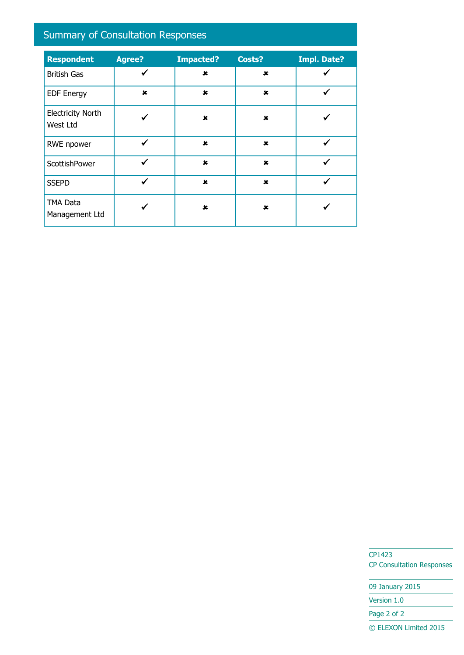# Summary of Consultation Responses

| <b>Respondent</b>                    | <b>Agree?</b> | <b>Impacted?</b> | Costs?                    | <b>Impl. Date?</b> |
|--------------------------------------|---------------|------------------|---------------------------|--------------------|
| <b>British Gas</b>                   | ✓             | $\pmb{x}$        | $\pmb{\times}$            |                    |
| <b>EDF Energy</b>                    | $\mathbf x$   | $\pmb{x}$        | $\mathbf x$               |                    |
| <b>Electricity North</b><br>West Ltd |               | $\mathbf x$      | $\pmb{\times}$            |                    |
| RWE npower                           | $\checkmark$  | $\pmb{\times}$   | $\pmb{\times}$            |                    |
| ScottishPower                        | ✔             | $\mathbf x$      | $\mathbf x$               |                    |
| <b>SSEPD</b>                         | ✔             | $\mathbf x$      | $\mathbf x$               |                    |
| <b>TMA Data</b><br>Management Ltd    |               | $\mathbf x$      | $\boldsymbol{\mathsf{x}}$ |                    |

CP1423 CP Consultation Responses

09 January 2015 Version 1.0 Page 2 of 2 © ELEXON Limited 2015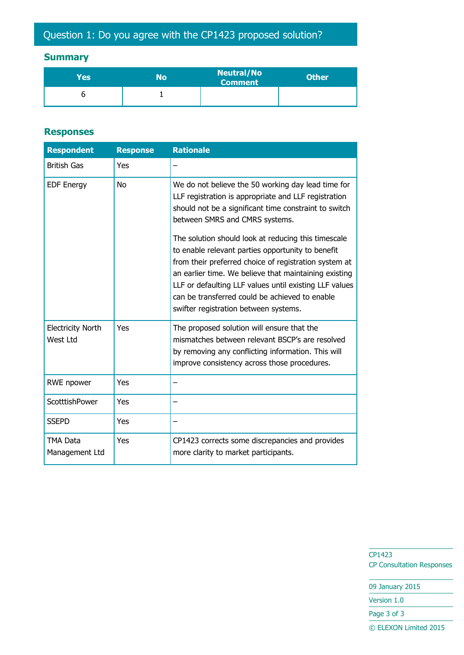### **Summary**

| Yes | No | <b>Neutral/No</b><br><b>Comment</b> | <b>Other</b> |
|-----|----|-------------------------------------|--------------|
|     |    |                                     |              |

#### **Responses**

| <b>Respondent</b>                    | <b>Response</b> | <b>Rationale</b>                                                                                                                                                                                                                                                                                                                                                                                                                                                                                                                                                                         |
|--------------------------------------|-----------------|------------------------------------------------------------------------------------------------------------------------------------------------------------------------------------------------------------------------------------------------------------------------------------------------------------------------------------------------------------------------------------------------------------------------------------------------------------------------------------------------------------------------------------------------------------------------------------------|
| <b>British Gas</b>                   | Yes             |                                                                                                                                                                                                                                                                                                                                                                                                                                                                                                                                                                                          |
| <b>EDF Energy</b>                    | <b>No</b>       | We do not believe the 50 working day lead time for<br>LLF registration is appropriate and LLF registration<br>should not be a significant time constraint to switch<br>between SMRS and CMRS systems.<br>The solution should look at reducing this timescale<br>to enable relevant parties opportunity to benefit<br>from their preferred choice of registration system at<br>an earlier time. We believe that maintaining existing<br>LLF or defaulting LLF values until existing LLF values<br>can be transferred could be achieved to enable<br>swifter registration between systems. |
| <b>Electricity North</b><br>West Ltd | Yes             | The proposed solution will ensure that the<br>mismatches between relevant BSCP's are resolved<br>by removing any conflicting information. This will<br>improve consistency across those procedures.                                                                                                                                                                                                                                                                                                                                                                                      |
| RWE npower                           | Yes             |                                                                                                                                                                                                                                                                                                                                                                                                                                                                                                                                                                                          |
| ScotttishPower                       | Yes             |                                                                                                                                                                                                                                                                                                                                                                                                                                                                                                                                                                                          |
| <b>SSEPD</b>                         | Yes             |                                                                                                                                                                                                                                                                                                                                                                                                                                                                                                                                                                                          |
| TMA Data<br>Management Ltd           | Yes             | CP1423 corrects some discrepancies and provides<br>more clarity to market participants.                                                                                                                                                                                                                                                                                                                                                                                                                                                                                                  |

CP1423 CP Consultation Responses

09 January 2015

Version 1.0

Page 3 of 3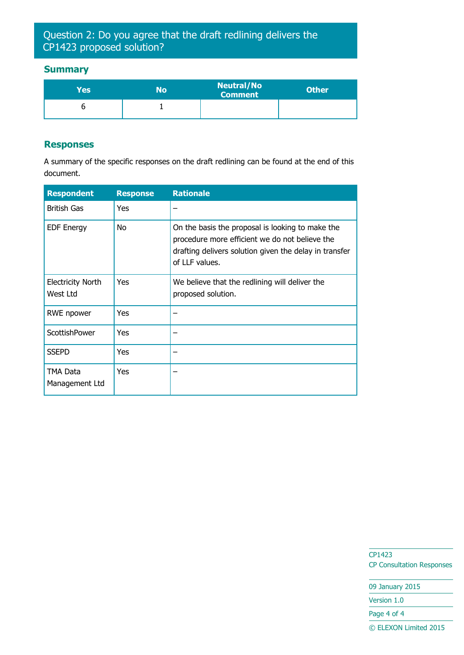## Question 2: Do you agree that the draft redlining delivers the CP1423 proposed solution?

#### **Summary**

| Yes | No | <b>Neutral/No</b><br><b>Comment</b> | <b>Other</b> |
|-----|----|-------------------------------------|--------------|
|     |    |                                     |              |

#### **Responses**

A summary of the specific responses on the draft redlining can be found at the end of this document.

| <b>Respondent</b>                    | <b>Response</b> | <b>Rationale</b>                                                                                                                                                               |
|--------------------------------------|-----------------|--------------------------------------------------------------------------------------------------------------------------------------------------------------------------------|
| <b>British Gas</b>                   | <b>Yes</b>      |                                                                                                                                                                                |
| <b>EDF Energy</b>                    | No              | On the basis the proposal is looking to make the<br>procedure more efficient we do not believe the<br>drafting delivers solution given the delay in transfer<br>of LLF values. |
| <b>Electricity North</b><br>West Ltd | Yes             | We believe that the redlining will deliver the<br>proposed solution.                                                                                                           |
| RWE npower                           | Yes             |                                                                                                                                                                                |
| ScottishPower                        | <b>Yes</b>      |                                                                                                                                                                                |
| <b>SSEPD</b>                         | Yes             |                                                                                                                                                                                |
| TMA Data<br>Management Ltd           | <b>Yes</b>      |                                                                                                                                                                                |

CP1423 CP Consultation Responses

09 January 2015

Version 1.0

Page 4 of 4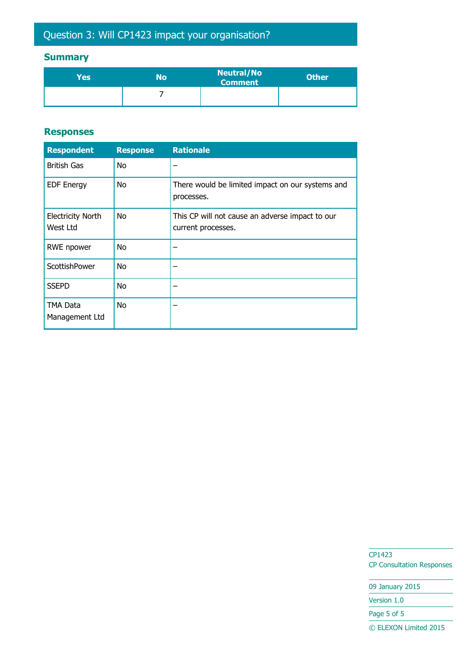# Question 3: Will CP1423 impact your organisation?

### **Summary**

| Yes' | No | <b>Neutral/No</b><br><b>Comment</b> | <b>Other</b> |
|------|----|-------------------------------------|--------------|
|      |    |                                     |              |

#### **Responses**

| <b>Respondent</b>                    | <b>Response</b> | <b>Rationale</b>                                                      |
|--------------------------------------|-----------------|-----------------------------------------------------------------------|
| <b>British Gas</b>                   | <b>No</b>       |                                                                       |
| <b>EDF Energy</b>                    | <b>No</b>       | There would be limited impact on our systems and<br>processes.        |
| <b>Electricity North</b><br>West Ltd | No.             | This CP will not cause an adverse impact to our<br>current processes. |
| <b>RWE</b> npower                    | No              |                                                                       |
| ScottishPower                        | <b>No</b>       |                                                                       |
| <b>SSEPD</b>                         | No              |                                                                       |
| TMA Data<br>Management Ltd           | <b>No</b>       |                                                                       |

CP1423 CP Consultation Responses

09 January 2015 Version 1.0 Page 5 of 5 © ELEXON Limited 2015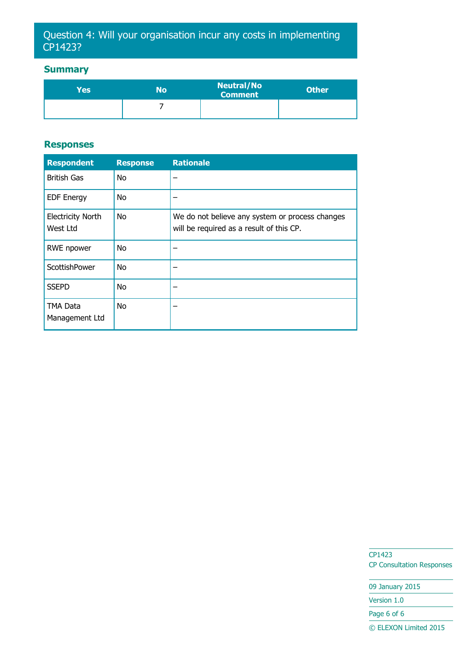# Question 4: Will your organisation incur any costs in implementing CP1423?

### **Summary**

| Yesl | No | <b>Neutral/No</b><br><b>Comment</b> | <b>Other</b> |
|------|----|-------------------------------------|--------------|
|      |    |                                     |              |

#### **Responses**

| <b>Respondent</b>                    | <b>Response</b> | <b>Rationale</b>                                                                            |
|--------------------------------------|-----------------|---------------------------------------------------------------------------------------------|
| <b>British Gas</b>                   | No.             |                                                                                             |
| <b>EDF Energy</b>                    | <b>No</b>       |                                                                                             |
| <b>Electricity North</b><br>West Ltd | No.             | We do not believe any system or process changes<br>will be required as a result of this CP. |
| <b>RWE</b> npower                    | No.             |                                                                                             |
| ScottishPower                        | No.             |                                                                                             |
| <b>SSEPD</b>                         | No.             |                                                                                             |
| <b>TMA Data</b><br>Management Ltd    | <b>No</b>       |                                                                                             |

CP1423 CP Consultation Responses

09 January 2015 Version 1.0 Page 6 of 6 © ELEXON Limited 2015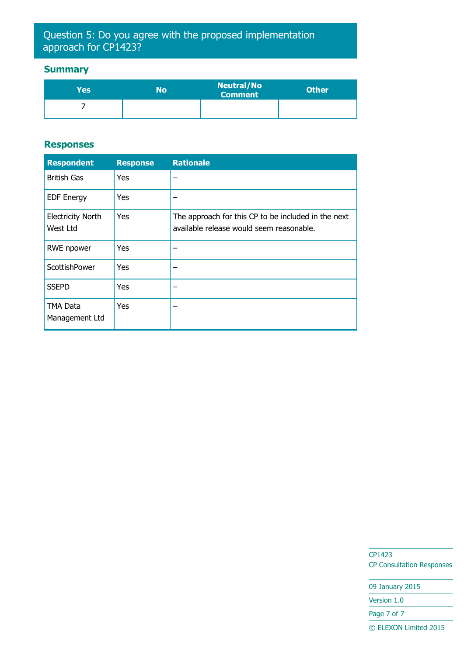# Question 5: Do you agree with the proposed implementation approach for CP1423?

### **Summary**

| Yes | No | <b>Neutral/No</b><br>Comment | <b>Other</b> |
|-----|----|------------------------------|--------------|
|     |    |                              |              |

#### **Responses**

| <b>Respondent</b>                    | <b>Response</b> | <b>Rationale</b>                                                                                |
|--------------------------------------|-----------------|-------------------------------------------------------------------------------------------------|
| <b>British Gas</b>                   | <b>Yes</b>      |                                                                                                 |
| <b>EDF Energy</b>                    | <b>Yes</b>      |                                                                                                 |
| <b>Electricity North</b><br>West Ltd | Yes             | The approach for this CP to be included in the next<br>available release would seem reasonable. |
| <b>RWE</b> npower                    | <b>Yes</b>      |                                                                                                 |
| ScottishPower                        | <b>Yes</b>      |                                                                                                 |
| <b>SSEPD</b>                         | <b>Yes</b>      |                                                                                                 |
| <b>TMA Data</b><br>Management Ltd    | Yes             |                                                                                                 |

CP1423 CP Consultation Responses

09 January 2015 Version 1.0 Page 7 of 7 © ELEXON Limited 2015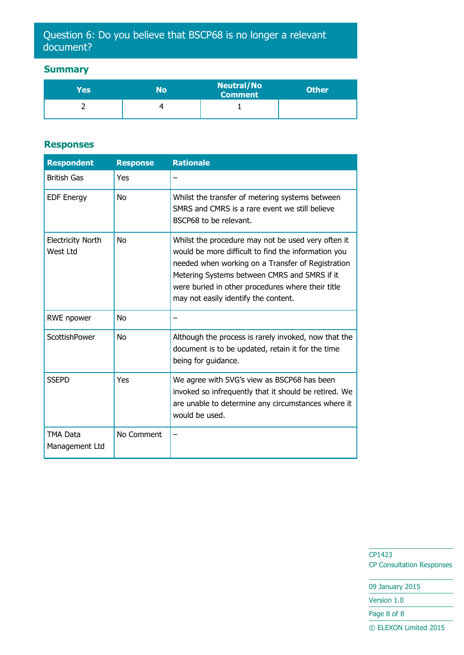# Question 6: Do you believe that BSCP68 is no longer a relevant document?

### **Summary**

| Yes | No | <b>Neutral/No</b><br><b>Comment</b> | <b>Other</b> |
|-----|----|-------------------------------------|--------------|
|     |    |                                     |              |

#### **Responses**

| <b>Respondent</b>                    | <b>Response</b> | <b>Rationale</b>                                                                                                                                                                                                                                                                                            |
|--------------------------------------|-----------------|-------------------------------------------------------------------------------------------------------------------------------------------------------------------------------------------------------------------------------------------------------------------------------------------------------------|
| <b>British Gas</b>                   | Yes             |                                                                                                                                                                                                                                                                                                             |
| <b>EDF Energy</b>                    | N <sub>0</sub>  | Whilst the transfer of metering systems between<br>SMRS and CMRS is a rare event we still believe<br>BSCP68 to be relevant.                                                                                                                                                                                 |
| <b>Electricity North</b><br>West Ltd | N <sub>O</sub>  | Whilst the procedure may not be used very often it<br>would be more difficult to find the information you<br>needed when working on a Transfer of Registration<br>Metering Systems between CMRS and SMRS if it<br>were buried in other procedures where their title<br>may not easily identify the content. |
| RWE npower                           | <b>No</b>       |                                                                                                                                                                                                                                                                                                             |
| ScottishPower                        | No              | Although the process is rarely invoked, now that the<br>document is to be updated, retain it for the time<br>being for guidance.                                                                                                                                                                            |
| <b>SSEPD</b>                         | Yes             | We agree with SVG's view as BSCP68 has been<br>invoked so infrequently that it should be retired. We<br>are unable to determine any circumstances where it<br>would be used.                                                                                                                                |
| TMA Data<br>Management Ltd           | No Comment      |                                                                                                                                                                                                                                                                                                             |

CP1423 CP Consultation Responses

09 January 2015

Version 1.0

Page 8 of 8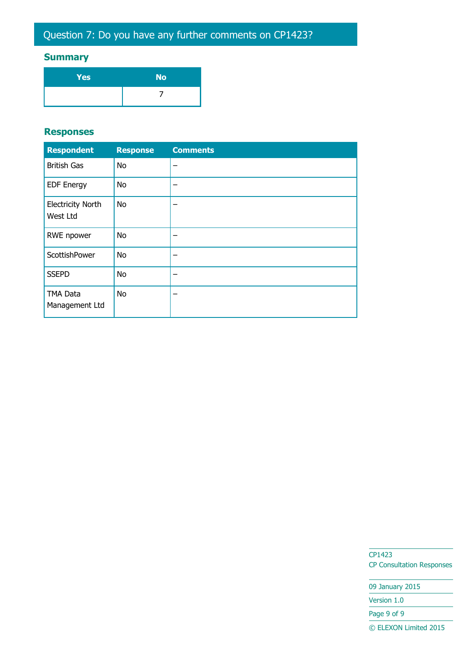# **Summary**

| Yes | <b>No</b> |
|-----|-----------|
|     |           |

#### **Responses**

| <b>Respondent</b>                    | <b>Response</b> | <b>Comments</b> |
|--------------------------------------|-----------------|-----------------|
| <b>British Gas</b>                   | <b>No</b>       |                 |
| <b>EDF Energy</b>                    | <b>No</b>       |                 |
| <b>Electricity North</b><br>West Ltd | <b>No</b>       |                 |
| RWE npower                           | <b>No</b>       |                 |
| ScottishPower                        | <b>No</b>       |                 |
| <b>SSEPD</b>                         | <b>No</b>       |                 |
| <b>TMA Data</b><br>Management Ltd    | <b>No</b>       |                 |

CP1423 CP Consultation Responses

09 January 2015 Version 1.0 Page 9 of 9 © ELEXON Limited 2015